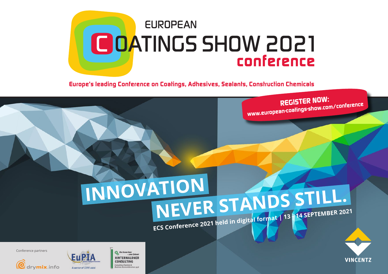

*Europe's leading Conference on Coatings, Adhesives, Sealants, Construction Chemicals*

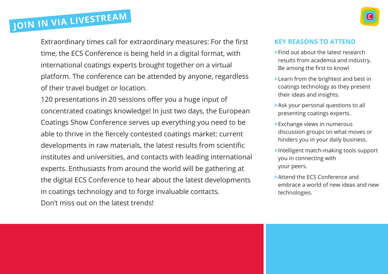

Extraordinary times call for extraordinary measures: For the first time, the ECS Conference is being held in a digital format, with international coatings experts brought together on a virtual platform. The conference can be attended by anyone, regardless of their travel budget or location.

**Join in via livestream**

120 presentations in 20 sessions offer you a huge input of concentrated coatings knowledge! In just two days, the European Coatings Show Conference serves up everything you need to be able to thrive in the fiercely contested coatings market: current developments in raw materials, the latest results from scientific institutes and universities, and contacts with leading international experts. Enthusiasts from around the world will be gathering at the digital ECS Conference to hear about the latest developments in coatings technology and to forge invaluable contacts. Don't miss out on the latest trends!

#### **KEY REASONS TO ATTEND**

- **>**Find out about the latest research results from academia and industry. Be among the first to know!
- **>**Learn from the brightest and best in coatings technology as they present their ideas and insights.
- **>**Ask your personal questions to all presenting coatings experts.
- **>**Exchange views in numerous discussion groups on what moves or hinders you in your daily business.
- **>**Intelligent match-making tools support you in connecting with your peers.
- **>**Attend the ECS Conference and embrace a world of new ideas and new technologies.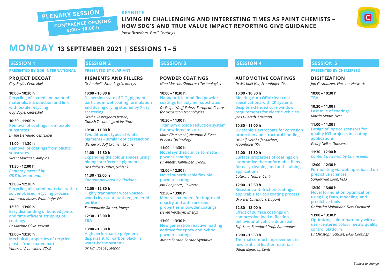#### **Keynote**

**PLenary Session Conference Opening 9:00 – 10:00 h**

# **Living in challenging and interesting times as paint chemists –**

**how SDG's and true value impact reporting give guidance**

*Joost Broeders, Baril Coatings*

## **MonDAY 13 September 2021 | Sessions 1 – 5**

#### **SESSION 1**

**PRESENTED BY GDB INTERNATIONAL** 

**Project DECOAT** *Guy Buyle, Centexbel*

**10:00 – 10:30 h Recycling of coated and painted materials: introduction and link with textile recycling** *Guy Buyle, Centexbel*

**10:30 – 11:00 h Removal of coatings from textile substrates** *Dr Ine De Vilder, Centexbel*

**11:00 – 11:30 h Removal of coatings from plastic substrates** *Vicent Martinez, Aimplas*

**11:30 - 12:00 h** *Content powered by GDB International*

**12:00 – 12:30 h Recycling of coated materials with a solvent-based recycling process** *Katharina Kaiser, Fraunhofer IVV*

**12:30 – 13:00 h Easy dismantling of bonded joints and time efficient stripping of coatings** *Dr Maxime Olive, Rescoll*

**13:00 – 13:30 h Mechnical properties of recycled plastic from coated parts** *Vanessa Ventosinos, CTAG*

#### **SESSION 2**

**presented by Clariant**

**Pigments and fillers** *Dr Anabelle Elton-Legrix, Imerys*

**10:00 – 10:30 h**

**Dispersion state of TiO<sub>2</sub> pigment particles in wet coating formulation and during drying studied by X-ray scattering**

*Grethe Vestergaard Jensen, Danish Technological Institute*

**10:30 – 11:00 h Two different types of white pigments – similar optical reaction** *Werner Rudolf Cramer, Cramer*

**11:00 – 11:30 h Expanding the colour spaces using hiding interference pigments** *Dr Adalbert Huber, Schlenk*

**11:30 - 12:00 h** *Content powered by Clariant*

**12:00 – 12:30 h Highly tranparent water-based wood clear coats with engeneered perlite** *Emmanuelle Giraud, Imerys*

**12:30 – 13:00 h TBA**

**13:00 – 13:30 h High performance polymeric dispersant for carbon black in water-borne systems**  *Dr Tim Boebel, Stepan*

#### **SESSION 3**

**Powder coatings** *Nina Musche, Shamrock Technologies* 

**10:00 – 10:30 h Nanoparticle-modified powder coatings for polymer substrates** *Dr Felipe Wolff-Fabris, European Centre for Dispersion technologies*

**10:30 – 11:00 h Titanium dioxide reduction system for powdered mixtures** *Marc Giersemehl, Neuman & Esser Process Technology*

**11:00 – 11:30 h Novel synthetic silica to matte powder coatings** *Dr Annett Halbhuber, Evonik*

**12:00 – 12:30 h Novel superdurable flexible powder coating** *Jan Bongaerts, Covestro*

**12:30 – 13:00 h Mineral extenders for improved opacity and anti-corrosion properties in powder coatings** *Lieven Verstuyft, Imerys*

**13:00 – 13:30 h New generation reactive matting additive for epoxy and hybrid powder coatings** *Atman Fozdar, Fozdar Dynamics*

#### **SESSION 4**

**Automotive coatings** *Dr Michael Hilt, Fraunhofer IPA*

**10:00 – 10:30 h Meeting Auto OEM clear coat specifications with 2K systems despite extended cure window requirements for electric vehicles** *Jens Duereth, Eastman*

**10:30 – 11:00 h UV stable electrocoats for corrosion protection and structural bonding** *Dr Rolf Nothhelfer-Richter, Fraunhofer IPA*

**11:00 – 11:30 h Surface properties of coatings on automotive thermoformable films for easy-cleaning and anti-staining applications** *Catarina Nobre, Centi*

**12:00 – 12:30 h Resistant anti-friction coatings applicable for coil coating process** *Dr Peter Ohlendorf, Dupont*

**12:30 – 13:00 h Effect of surface coatings on compression load deflection behaviour of vehicle door seal** *Elif Uzun, Standard Profil Automotive*

**13:00 – 13:30 h Thermal comfort improvement in new artificial leather materials** *Dânia Menezes, Centi*

#### **SESSION 5**

**presented by Chemspeed**

**Digitization** *Jan Gesthuizen, Vincentz Network*

**10:00 – 10:30 h TBA**

**10:30 – 11:00 h Last mile of coatings** *Martin Madle, Deso*

**11:00 – 11:30 h Design of (optical) sensors for quality IOT projects in coating applications** *Georg Nelke, Optisense*

**11:30 - 12:00 h** *Content powered by Chemspeed*

**12:00 – 12:30 h Formulating via web-apps based on predictive sciences** *Sander van Loon, VLCI*

**12:30 – 13:00 h Novel formulation optimization using Big Data, modeling, and predictive tools** *Dr Partha Majumdar, Dow Chemical*

**13:00 – 13:30 h Optimizing colour harmony with a user-centered colourimetric quality control platform** *Dr Christoph Schulte, BASF Coatings*

*Subject to change*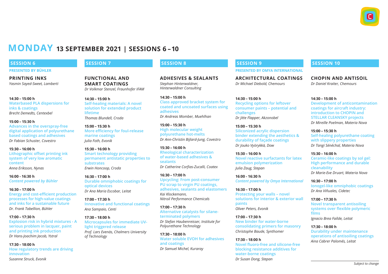## **MonDAY 13 September 2021 | Sessions 6 – 10**

#### **SESSION 6**

#### **presented by Bühler**

**Printing inks** *Yasmin Sayed-Sweet, Lamberti*

**14:30 – 15:00 h Waterbased PLA dispersions for inks & coatings** *Brecht Demedts, Centexbel*

**15:00 – 15:30 h Advances in the overspray-free digital application of polyurethane based coatings and adhesives** *Dr Fabian Schuster, Covestro*

**15:30 – 16:00 h Lithographic offset printing ink system of very low aromatic content** *Anna Eriksson, Nynas*

**16:00 - 16:30 h** *Content powered by Bühler*

**16:30 – 17:00 h Energy and cost-efficient production processes for high-value coatings and inks for a sustainable future** *Dr. Frank Tabellion, Bühler*

**17:00 – 17:30 h Explosion risk in hybrid mixtures - A serious problem in lacquer, paint and printing ink production** *Dr Hans-Joachim Jacob, Ystral*

**17:30 – 18:00 h How regulatory trends are driving innovation** *Susanne Struck, Evonik*

#### **SESSION 7**

**Functional and smart coatings** *Dr Volkmar Stenzel, Fraunhofer IFAM*

**14:30 – 15:00 h Self-healing materials: A novel solution for extended product lifetime** *Thomas Blundell, Croda*

**15:00 – 15:30 h More efficiency for foul-release marine coatings** *Julia Foth, Evonik*

**15:30 – 16:00 h Smart technology providing permanent antistatic properties to substrates** *Erwin Honcoop, Croda*

**16:30 – 17:00 h Durable omniphobic coatings for optical devices** *Dr Ana Maria Escobar, Leitat*

**17:00 – 17:30 h Innovative and functional coatings** *Ana Sampaio, Centi*

**17:30 – 18:00 h Microcapsules for immediate UVlight triggered release** *Prof. Lars Evenäs, Chalmers University of Technology*

## **SESSION 8**

**Adhesives & sealants** *Stephan Hinterwaldner, Hinterwaldner Consulting*

**14:30 – 15:00 h Class approved bracket system for coated and uncoated surfaces using adhesives** *Dr Andreas Momber, Muehlhan*

**15:00 – 15:30 h High molecular weight polyurethane hot-melts** *Dr Ann-Christin Bijlard-Jung, Covestro*

**15:30 – 16:00 h Rheological characterization of water-based adhesives & sealants** *Dr Catherine Corfias-Zucalli, Coatex*

**16:30 – 17:00 h Upcycling: From post-consumer PU scrap to virgin PU coatings, adhesives, sealants and elastomers** *Kai Klockemann, Nitroil Performance Chemicals*

**17:00 – 17:30 h Alternative catalysts for silaneterminated polymers** *Dr Stefan Haubenreisser, Institute for Polyurethane Technology*

**17:30 – 18:00 h Water soluble EVOH for adhesives and coatings** *Dr Samuel Michel, Kuraray*

#### **SESSION 9**

**presented by Omya International**

**Architectural coatings** *Dr Michael Diebold, Chemours*

**14:30 – 15:00 h Recycling options for leftover consumer paints – potential and challenges** *Dr Jitte Flapper, Akzonobel*

**15:00 – 15:30 h Siliconized acrylic dispersion binder extending the aesthetics & durability of façade coatings** *Dr Jouko Vyörykkä, Dow*

**15:30 – 16:00 h Novel reactive surfactants for latex emulsion polymerization** *Julia Zaug, Stepan*

**16:00 - 16:30 h** *Content powered by Omya International*

**16:30 – 17:00 h Protecting your walls – novel solutions for interior & exterior wall paints** *Oliver Peters, Evonik*

**17:00 – 17:30 h New binder for water-borne consolidating primers for masonry** *Christophe Baude, Synthomer*

**17:30 – 18:00 h Novel fluoro-free and silicone-free blocking resistance additives for water-borne coatings** *Dr Susan Dong, Stepan*

#### **SESSION 10**

**CHOPIN and antisoil** *Dr Daniel Kraiter, Chemours*

**14:30 – 15:00 h**

**Development of anticontamination coatings for aircraft industry: introduction to CHOPIN and STELLAR CLEANSKY projects** *Dr Mireille Poelman, Materia Nova*

**15:00 – 15:30 h Self-healing polyurethane coating with slippery properties** *Dr Tangi Sénéchal, Materia Nova*

**15:30 – 16:00 h Ceramic-like coatings by sol gel: High performance and durable cleanability** *Dr Marie-Eve Druart, Materia Nova*

**16:30 – 17:00 h Ionogel-like omniphobic coatings** *Dr Ana Viñuales, Cidetec*

**17:00 – 17:30 h Novel transparent antisoiling systems over flexible polymeric films** *Ignacio Brea Faílde, Leitat*

**17:30 – 18:00 h Durability under maintenance operations of antisoiling coatings** *Aina Cabrer Palomés, Leitat*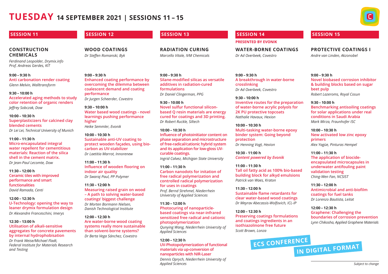# **TUESDAY 14 September 2021 | Sessions 11 – 15**

**9:00 – 9:30 h**

**performance**

**9:30 – 10:00 h**

**10:00 – 10:30 h**

**11:00 – 11:30 h**

**11:30 – 12:00 h**

**12:00 – 12:30 h**

**indoor air quality** *Dr Swaraj Paul, PP Polymer*

*Heike Semmler, Evonik*

**carbon as UV-stabilizer** *Dr Laetitia Marrot, Innorenew*

**higher**



#### **SESSION 11**

#### **Construction chemicals**

*Ferdinand Leopolder, Drymix.info Prof. Andreas Gerdes, KIT*

**9:00 – 9:30 h Anti carbonation render coating**  *Glenn Melvin, Walltransform* 

**9:30 – 10:00 h Accelerated aging methods to study color retention of organic renders** *Jeffrey Sobczak, Dow*

**10:00 – 10:30 h Superplasticizers for calcined clay blended cements** *Dr Lei Lei, Technical University of Munich*

**11:00 – 11:30 h Micro-encapsulated integral water repellent for cementitious materials: Reaction of the silica shell in the cement matrix.** *Dr Jean-Paul Lecomte, Dow*

**11:30 – 12:00 h Ceramic tiles with improved performance and smart functionalities** *David Ramada, Centi*

**12:00 – 12:30 h U-Technology: opening the way to leaner drymix formulation design** *Dr Alexandre Franceschini, Imerys*

**12:30 – 13:00 h Utilisation of alkali-sensitive aggregates for concrete pavements by internal hydrophobisation**

*Dr Frank Weise/Michael Fladt, Federal Institute for Materials Research and Testing*

#### **SESSION 12**

**Wood coatings**  *Dr Steffen Romanski, Byk*

**Enhanced coating performance by overcoming the dilemma between coalescent demand and coating** 

**Water based wood coatings - novel learnings pushing performance** 

**Sustainable anti-UV coating to protect wooden façades, using bio-**

**Influence of wooden flooring on** 

**Measuring raised grain on wood – A path to solving water-based coatings' biggest challenge** *Dr Morten Bormann Nielsen, Danish Technological Institute*

**Are water-borne wood coating systems really more sustainable than solvent-borne systems?** *Dr Berta Vega Sánchez, Covestro*

*Dr Jurgen Scheerder, Covestro*

#### **SESSION 13**

**Radiation curing** *Marcello Vitale, IVM Chemicals*

**9:00 – 9:30 h Silane-modified silicas as versatile additives in radiation-cured formulations** *Dr Daniel Clingerman, PPG*

**9:30 – 10:00 h Novel sulfur functional siliconbased Q resin materials are energy cured for coatings and 3D printing.** *Dr Robert Ruckle, Siltech*

**10:00 – 10:30 h Influence of photoinitiator content on phase separation and microstructure of free-radical/cationic hybrid system and its application for low-gloss UVcurable coatings.** *Ingrid Calvez, Michigan State University*

**11:00 – 11:30 h Carbon nanodots for initation of** 

**free radical polymerization and controlled radical polymerization for uses in coatings** *Prof. Bernd Strehmel, Niederrhein University of Applied Sciences*

**11:30 – 12:00 h Photocuring of nanoparticlebased coatings via near-infrared sensitized free radical and cationic photopolymerization** *Qunying Wang, Niederrhein University of Applied Sciences*

**12:00 – 12:30 h UV-Photopolymerization of functional materials via up-conversion of nanoparticles with NIR-Laser**

*Dennis Oprych, Niederrhein University of Applied Sciences*

#### **SESSION 14**

**presented by Evonik**

**Water-borne coatings** *Dr Ad Overbeek, Covestro*

**9:00 – 9:30 h A breakthrough in water-borne crosslinking** *Dr Ad Overbeek, Covestro*

**9:30 – 10:00 h Inventive routes for the preparation of water-borne acrylic polyols for 2K PU protective topcoats** *Nathalie Havaux, Hexion*

**10:00 – 10:30 h Multi-tasking water-borne epoxy binder system: Going beyond protection** *Dr Henning Vogt, Hexion*

**10:30 - 11:00 h** *Content powered by Evonik*

**11:00 – 11:30 h Tall oil fatty acid as 100% bio-based building block for alkyd emulsions** *Patrick van Waes, Kraton*

**11:30 – 12:00 h Sustainable flame retardants for clear water-based wood coatings** *Dr Meyrav Abecassis-Wolfovich, ICL-IP*

**12:00 – 12:30 h Preserving coatings formulations and coatings ingredients in an isothiazolinone free future** *Scott Brown, Lonza*

**ECS Conference**

#### **SESSION 15**

**Protective coatings I** *Andre van Linden, Akzonobel*

**9:00 – 9:30 h Novel biobased corrosion inhibitor & building blocks based on sugar beet pulp** *Robert Lazeroms, Royal Cosun*

**9:30 – 10:00 h Benchmarking antisoiling coatings for solar applications under real conditions in Saudi Arabia** *Mark Mirza, Fraunhofer ISC*

**10:00 – 10:30 h New activated low zinc epoxy primers** *Alex Yagüe, Pinturas Hempel*

**11:00 – 11:30 h The application of biocideencapsulated microcapsules in underwater antifouling paint validation testing** *Ching-Wen Fan, NCSIST*

**11:30 – 12:00 h Antimicrobial and anti-biofilm coatings for fuel tanks** *Dr Lorenzo Bautista, Leitat*

**in Digital Format**

**12:00 – 12:30 h Graphene: Challenging the boundaries of corrosion prevention** *Lynn Chikosha, Applied Graphene Materials*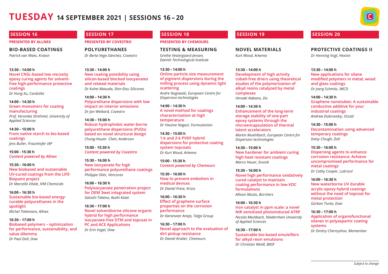# **TUESDAY 14 September 2021 | Sessions 16 – 20**



#### **presented by Allnex**

#### **Bio-based coatings**

*Patrick van Waes, Kraton*

**13:30 – 14:00 h Novel CNSL-based low viscosity epoxy curing agents for solventfree high-performance protective coatings** *Dr Hong Xu, Cardolite*

**14:00 – 14:30 h Green monomers for coating manufacturing** *Prof. Veronika Strehmel, University of Applied Sciences*

**14:30 – 15:00 h From native starch to bio-based coatings** *Jens Buller, Fraunhofer IAP*

**15:00 - 15:30 h** *Content powered by Allnex*

**15:30 – 16:00 h New biobased and sustainable UV-cured coatings from the LIFE-Biopaint project** *Dr Marcello Vitale, IVM Chemicals*

**16:00 – 16:30 h Sustainable bio-based energycurable polyurethanes in the spotlight** *Michel Tielemans, Allnex*

**16:30 – 17:00 h Biobased polymers – optimization for performance, sustainability, and value dilemma** *Dr Paul Doll, Dow*

#### **SESSION 17**

#### **presented by Covestro**

**Polyurethanes**

*Dr Berta Vega Sánchez, Covestro*

**13:30 – 14:00 h New coating possibility using silicon-based blocked isocyanates and related materials** *Dr Kohei Masuda, Shin-Etsu Silicones*

**14:00 – 14:30 h Polyurethane dispersions with low impact on interior emissions** *Dr Jan Weikard, Covestro*

**14:30 – 15:00 h Robust hydrophobic water-borne polyurethane dispersions (PUDs) based on novel structural design** *Chung-Hsuan Chen, Anderson*

**15:00 - 15:30 h** *Content powered by Covestro*

**15:30 – 16:00 h New isocyanate for high performance polyurethane coatings** *Philippe Olier, Vencorex*

**16:00 – 16:30 h Polyisocyanate penetration project for OEM 3wet integrated system** *Satoshi Takeno, Asahi Kasei*

**16:30 – 17:00 h Novel solventborne silicone organic hybrid for high performance isocyanate-free DTM and topcoat in PC and ACE Applications** *Dr Erin Vogel, Dow*

#### **SESSION 18**

#### **presented by Chemours**

**Testing & measuring** *Grethe Vestergaard Jensen, Danish Technological Institute*

**13:30 – 14:00 h Online particle size measurement of pigment dispersions during the milling process using dynamic light scattering** *Andre Nogowski, European Centre for Dispersion technologies*

**14:00 – 14:30 h A novel method for coatings characterization at high temperature**  *Dr Yassine Nagazi, Formulaction*

**14:30 – 15:00 h 1-k and 2-k PVDF hybrid dispersions for protective coating system topcoats** *Dr Kurt Wood, Arkema*

**15:00 - 15:30 h** *Content powered by Chemours*

**15:30 – 16:00 h How to prevent embolism in medical devices** *Dr Daniel Frese, Krüss* 

**16:00 – 16:30 h Effect of graphene surface properties on the corrosion performance** *Dr Karanveer Aneja, Talga Group*

**16:30 – 17:00 h Novel approach to the evaluation of dirt pickup resistance** *Dr Daniel Kraiter, Chemours*

#### **SESSION 19**

**Novel materials** *Kurt Wood, Arkema*

**13:30 – 14:00 h Development of high activity cobalt-free driers using theoretical studies of the polymerization of alkyd resins catalyzed by metal complexes** *Hiroaki Nakano, Dic*

**14:00 – 14:30 h Enhancement of the long-term storage stability of one-part epoxy systems through the microencapsulation of thermal latent accelerators** *Martin Muehlbach, European Centre for Dispersion technologies*

**14:30 – 15:00 h New hardener for ambient curing high heat resistant coatings** *Marco Heuer, Evonik*

**15:30 – 16:00 h Novel high performance oxidatively cured catalyst to maintain coating performance in low-VOC formulations** *Allison Musto, Borchers*

**16:00 – 16:30 h Iron catalyst in ppm scale: a novel NIR sensitized photoinduced ATRP** *Nicolai Meckbach, Niederrhein University of Applied Sciences*

**16:30 – 17:00 h Sustainable bio-based emulsifiers for alkyd resin emulsions** *Dr Christian Weidl, BASF*

#### **SESSION 20**

**Protective coatings II** *Dr Henning Vogt, Hexion*

**13:30 – 14:00 h New applications for silane modified polymers in metal, wood and glass coatings** *Dr Joerg Schmitz, IMCD*

**14:00 – 14:30 h Graphene nanotubes: A sustainable conductive additive for your industrial coatings** *Andrew Dubrovskiy, Ocsial*

**14:30 – 15:00 h Decontamination using advanced temporary coatings** *Daisy Clough, Dstl*

**15:30 – 16:00 h Dispersing agents to enhance corrosion resistance: Achieve uncompromised performance for metal coatings** *Dr Cathy Cooper, Lubrizol*

**16:00 – 16:30 h New waterborne UV durable acrylic-epoxy hybrid coatings without the need of topcoat for metal protection** *Gürkan Tonta, Dow*

**16:30 – 17:00 h Application of organofunctional silanes in polyaspartic coating systems** *Dr Dmitry Chernyshov, Momentive*